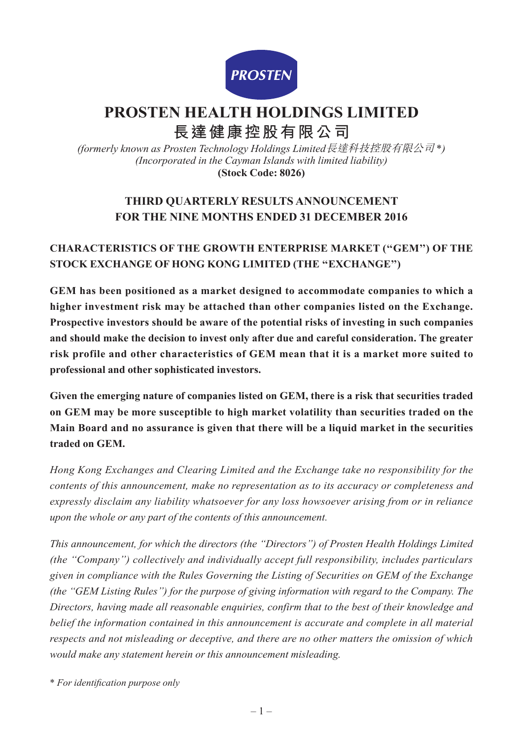

# **PROSTEN HEALTH HOLDINGS LIMITED 長達健康控股有限公司**

*(formerly known as Prosten Technology Holdings Limited*長達科技控股有限公司 \**) (Incorporated in the Cayman Islands with limited liability)* **(Stock Code: 8026)**

# **THIRD QUARTERLY RESULTS ANNOUNCEMENT FOR THE NINE MONTHS ENDED 31 DECEMBER 2016**

# **CHARACTERISTICS OF THE GROWTH ENTERPRISE MARKET (''GEM'') OF THE STOCK EXCHANGE OF HONG KONG LIMITED (THE ''EXCHANGE'')**

**GEM has been positioned as a market designed to accommodate companies to which a higher investment risk may be attached than other companies listed on the Exchange. Prospective investors should be aware of the potential risks of investing in such companies and should make the decision to invest only after due and careful consideration. The greater risk profile and other characteristics of GEM mean that it is a market more suited to professional and other sophisticated investors.**

**Given the emerging nature of companies listed on GEM, there is a risk that securities traded on GEM may be more susceptible to high market volatility than securities traded on the Main Board and no assurance is given that there will be a liquid market in the securities traded on GEM.**

*Hong Kong Exchanges and Clearing Limited and the Exchange take no responsibility for the contents of this announcement, make no representation as to its accuracy or completeness and expressly disclaim any liability whatsoever for any loss howsoever arising from or in reliance upon the whole or any part of the contents of this announcement.*

*This announcement, for which the directors (the ''Directors'') of Prosten Health Holdings Limited (the ''Company'') collectively and individually accept full responsibility, includes particulars given in compliance with the Rules Governing the Listing of Securities on GEM of the Exchange (the ''GEM Listing Rules'') for the purpose of giving information with regard to the Company. The Directors, having made all reasonable enquiries, confirm that to the best of their knowledge and belief the information contained in this announcement is accurate and complete in all material respects and not misleading or deceptive, and there are no other matters the omission of which would make any statement herein or this announcement misleading.*

\* *For identification purpose only*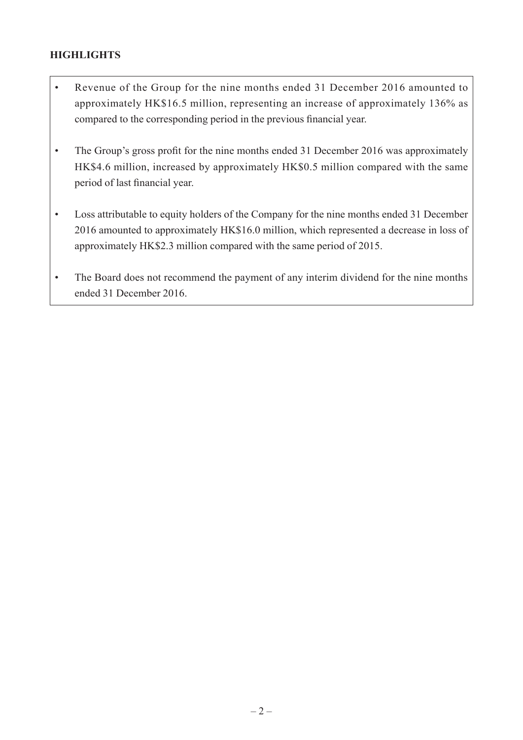# **HIGHLIGHTS**

- Revenue of the Group for the nine months ended 31 December 2016 amounted to approximately HK\$16.5 million, representing an increase of approximately 136% as compared to the corresponding period in the previous financial year.
- The Group's gross profit for the nine months ended 31 December 2016 was approximately HK\$4.6 million, increased by approximately HK\$0.5 million compared with the same period of last financial year.
- Loss attributable to equity holders of the Company for the nine months ended 31 December 2016 amounted to approximately HK\$16.0 million, which represented a decrease in loss of approximately HK\$2.3 million compared with the same period of 2015.
- The Board does not recommend the payment of any interim dividend for the nine months ended 31 December 2016.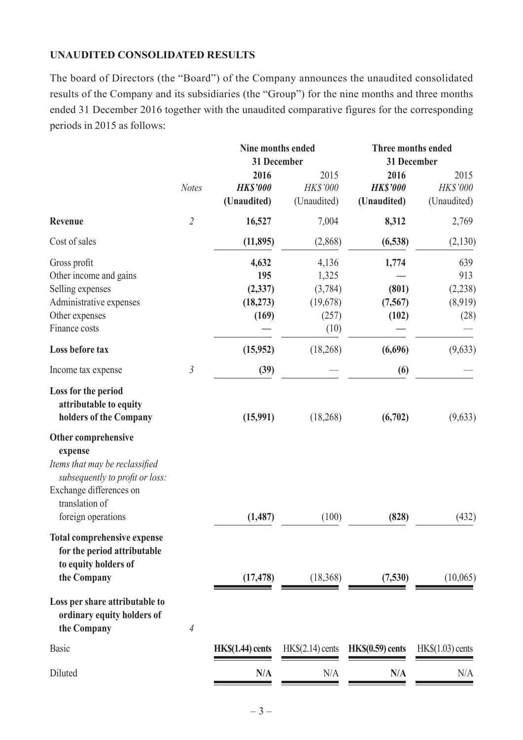#### **UNAUDITED CONSOLIDATED RESULTS**

The board of Directors (the "Board") of the Company announces the unaudited consolidated results of the Company and its subsidiaries (the "Group") for the nine months and three months ended 31 December 2016 together with the unaudited comparative figures for the corresponding periods in 2015 as follows:

|                                                                                                                                                                        |                | Nine months ended<br>31 December               |                                                        | <b>Three months ended</b><br>31 December |                                           |  |
|------------------------------------------------------------------------------------------------------------------------------------------------------------------------|----------------|------------------------------------------------|--------------------------------------------------------|------------------------------------------|-------------------------------------------|--|
|                                                                                                                                                                        | <b>Notes</b>   | 2016<br><b>HK\$'000</b><br>(Unaudited)         | 2015<br>HK\$'000<br>(Unaudited)                        | 2016<br><b>HK\$'000</b><br>(Unaudited)   | 2015<br>HK\$'000<br>(Unaudited)           |  |
| <b>Revenue</b>                                                                                                                                                         | $\overline{2}$ | 16,527                                         | 7,004                                                  | 8,312                                    | 2,769                                     |  |
| Cost of sales                                                                                                                                                          |                | (11, 895)                                      | (2,868)                                                | (6,538)                                  | (2,130)                                   |  |
| Gross profit<br>Other income and gains<br>Selling expenses<br>Administrative expenses<br>Other expenses<br>Finance costs                                               |                | 4,632<br>195<br>(2, 337)<br>(18, 273)<br>(169) | 4,136<br>1,325<br>(3,784)<br>(19,678)<br>(257)<br>(10) | 1,774<br>(801)<br>(7, 567)<br>(102)      | 639<br>913<br>(2, 238)<br>(8,919)<br>(28) |  |
| Loss before tax                                                                                                                                                        |                | (15,952)                                       | (18, 268)                                              | (6,696)                                  | (9,633)                                   |  |
| Income tax expense                                                                                                                                                     | $\mathfrak{Z}$ | (39)                                           |                                                        | (6)                                      |                                           |  |
| Loss for the period<br>attributable to equity<br>holders of the Company                                                                                                |                | (15,991)                                       | (18, 268)                                              | (6,702)                                  | (9,633)                                   |  |
| Other comprehensive<br>expense<br>Items that may be reclassified<br>subsequently to profit or loss:<br>Exchange differences on<br>translation of<br>foreign operations |                | (1, 487)                                       | (100)                                                  | (828)                                    | (432)                                     |  |
| <b>Total comprehensive expense</b><br>for the period attributable<br>to equity holders of<br>the Company                                                               |                | (17, 478)                                      | (18,368)                                               | (7,530)                                  | (10,065)                                  |  |
| Loss per share attributable to<br>ordinary equity holders of<br>the Company                                                                                            | $\overline{4}$ |                                                |                                                        |                                          |                                           |  |
| <b>Basic</b>                                                                                                                                                           |                | $HK\$(1.44)$ cents                             | HK\$(2.14) cents                                       | HK <sub>s</sub> (0.59) cents             | $HK$(1.03)$ cents                         |  |
| Diluted                                                                                                                                                                |                | N/A                                            | N/A                                                    | N/A                                      | N/A                                       |  |
|                                                                                                                                                                        |                |                                                |                                                        |                                          |                                           |  |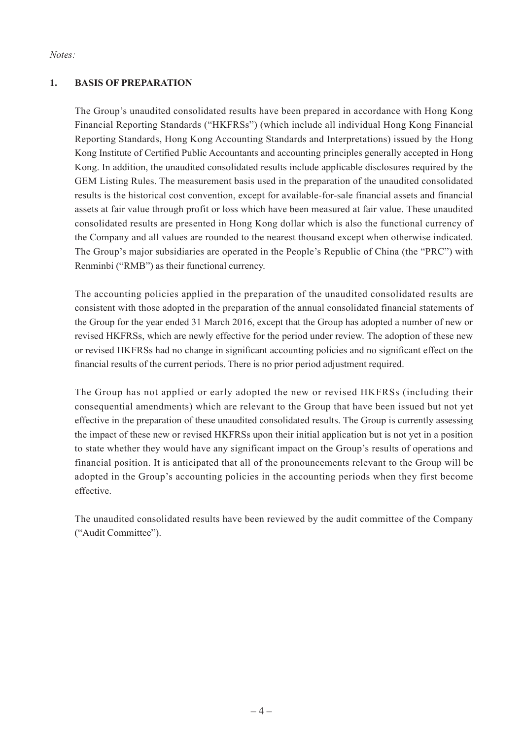*Notes:*

#### **1. Basis of Preparation**

The Group's unaudited consolidated results have been prepared in accordance with Hong Kong Financial Reporting Standards ("HKFRSs") (which include all individual Hong Kong Financial Reporting Standards, Hong Kong Accounting Standards and Interpretations) issued by the Hong Kong Institute of Certified Public Accountants and accounting principles generally accepted in Hong Kong. In addition, the unaudited consolidated results include applicable disclosures required by the GEM Listing Rules. The measurement basis used in the preparation of the unaudited consolidated results is the historical cost convention, except for available-for-sale financial assets and financial assets at fair value through profit or loss which have been measured at fair value. These unaudited consolidated results are presented in Hong Kong dollar which is also the functional currency of the Company and all values are rounded to the nearest thousand except when otherwise indicated. The Group's major subsidiaries are operated in the People's Republic of China (the "PRC") with Renminbi ("RMB") as their functional currency.

The accounting policies applied in the preparation of the unaudited consolidated results are consistent with those adopted in the preparation of the annual consolidated financial statements of the Group for the year ended 31 March 2016, except that the Group has adopted a number of new or revised HKFRSs, which are newly effective for the period under review. The adoption of these new or revised HKFRSs had no change in significant accounting policies and no significant effect on the financial results of the current periods. There is no prior period adjustment required.

The Group has not applied or early adopted the new or revised HKFRSs (including their consequential amendments) which are relevant to the Group that have been issued but not yet effective in the preparation of these unaudited consolidated results. The Group is currently assessing the impact of these new or revised HKFRSs upon their initial application but is not yet in a position to state whether they would have any significant impact on the Group's results of operations and financial position. It is anticipated that all of the pronouncements relevant to the Group will be adopted in the Group's accounting policies in the accounting periods when they first become effective.

The unaudited consolidated results have been reviewed by the audit committee of the Company ("Audit Committee").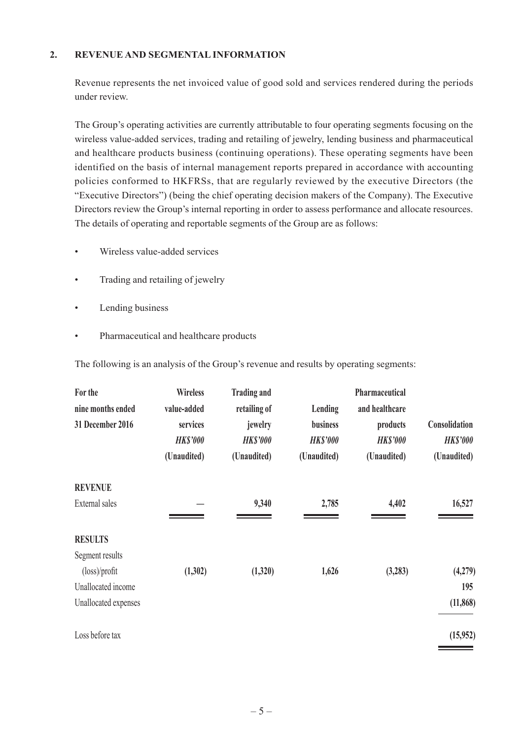#### **2. Revenue AND SEGMENTAL INFORMATION**

Revenue represents the net invoiced value of good sold and services rendered during the periods under review.

The Group's operating activities are currently attributable to four operating segments focusing on the wireless value-added services, trading and retailing of jewelry, lending business and pharmaceutical and healthcare products business (continuing operations). These operating segments have been identified on the basis of internal management reports prepared in accordance with accounting policies conformed to HKFRSs, that are regularly reviewed by the executive Directors (the "Executive Directors") (being the chief operating decision makers of the Company). The Executive Directors review the Group's internal reporting in order to assess performance and allocate resources. The details of operating and reportable segments of the Group are as follows:

- Wireless value-added services
- Trading and retailing of jewelry
- Lending business
- • Pharmaceutical and healthcare products

The following is an analysis of the Group's revenue and results by operating segments:

| For the<br>nine months ended<br>31 December 2016 | <b>Wireless</b><br>value-added<br>services<br><b>HK\$'000</b><br>(Unaudited) | <b>Trading and</b><br>retailing of<br>jewelry<br><b>HK\$'000</b><br>(Unaudited) | Lending<br><b>business</b><br><b>HK\$'000</b><br>(Unaudited) | Pharmaceutical<br>and healthcare<br>products<br><b>HK\$'000</b><br>(Unaudited) | Consolidation<br><b>HK\$'000</b><br>(Unaudited) |
|--------------------------------------------------|------------------------------------------------------------------------------|---------------------------------------------------------------------------------|--------------------------------------------------------------|--------------------------------------------------------------------------------|-------------------------------------------------|
| <b>REVENUE</b>                                   |                                                                              |                                                                                 |                                                              |                                                                                |                                                 |
| External sales                                   |                                                                              | 9,340                                                                           | 2,785                                                        | 4,402                                                                          | 16,527                                          |
| <b>RESULTS</b>                                   |                                                                              |                                                                                 |                                                              |                                                                                |                                                 |
| Segment results                                  |                                                                              |                                                                                 |                                                              |                                                                                |                                                 |
| $(\text{loss})$ /profit                          | (1,302)                                                                      | (1,320)                                                                         | 1,626                                                        | (3,283)                                                                        | (4,279)                                         |
| Unallocated income                               |                                                                              |                                                                                 |                                                              |                                                                                | 195                                             |
| Unallocated expenses                             |                                                                              |                                                                                 |                                                              |                                                                                | (11, 868)                                       |
| Loss before tax                                  |                                                                              |                                                                                 |                                                              |                                                                                | (15,952)                                        |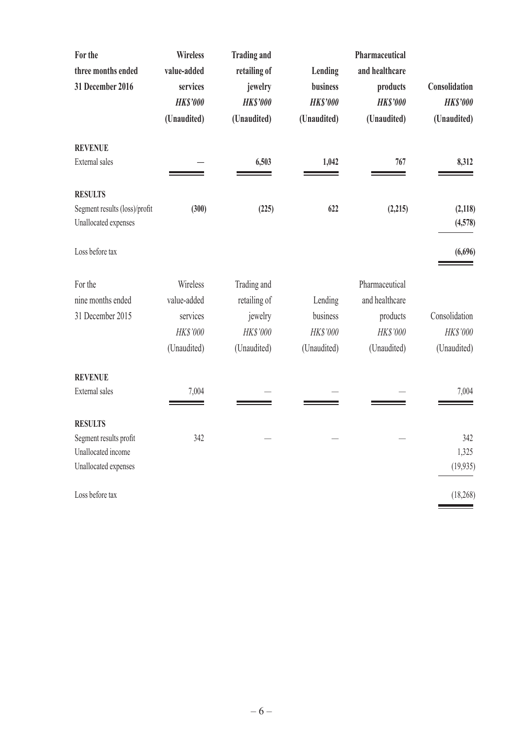| For the<br>three months ended<br>31 December 2016     | <b>Wireless</b><br>value-added<br>services<br><b>HK\$'000</b><br>(Unaudited) | <b>Trading and</b><br>retailing of<br>jewelry<br><b>HK\$'000</b><br>(Unaudited) | Lending<br>business<br><b>HK\$'000</b><br>(Unaudited) | Pharmaceutical<br>and healthcare<br>products<br><b>HK\$'000</b><br>(Unaudited) | Consolidation<br><b>HK\$'000</b><br>(Unaudited) |
|-------------------------------------------------------|------------------------------------------------------------------------------|---------------------------------------------------------------------------------|-------------------------------------------------------|--------------------------------------------------------------------------------|-------------------------------------------------|
| <b>REVENUE</b>                                        |                                                                              |                                                                                 |                                                       |                                                                                |                                                 |
| External sales                                        |                                                                              | 6,503                                                                           | 1,042                                                 | 767                                                                            | 8,312                                           |
| <b>RESULTS</b>                                        |                                                                              |                                                                                 |                                                       |                                                                                |                                                 |
| Segment results (loss)/profit<br>Unallocated expenses | (300)                                                                        | (225)                                                                           | 622                                                   | (2,215)                                                                        | (2, 118)<br>(4,578)                             |
| Loss before tax                                       |                                                                              |                                                                                 |                                                       |                                                                                | (6,696)                                         |
| For the                                               | Wireless                                                                     | Trading and                                                                     |                                                       | Pharmaceutical                                                                 |                                                 |
| nine months ended                                     | value-added                                                                  | retailing of                                                                    | Lending                                               | and healthcare                                                                 |                                                 |
| 31 December 2015                                      | services                                                                     | jewelry                                                                         | business                                              | products                                                                       | Consolidation                                   |
|                                                       | HK\$'000                                                                     | HK\$'000                                                                        | HK\$'000                                              | HK\$'000                                                                       | HK\$'000                                        |
|                                                       | (Unaudited)                                                                  | (Unaudited)                                                                     | (Unaudited)                                           | (Unaudited)                                                                    | (Unaudited)                                     |
| <b>REVENUE</b>                                        |                                                                              |                                                                                 |                                                       |                                                                                |                                                 |
| External sales                                        | 7,004                                                                        |                                                                                 |                                                       |                                                                                | 7,004                                           |
| <b>RESULTS</b>                                        |                                                                              |                                                                                 |                                                       |                                                                                |                                                 |
| Segment results profit                                | 342                                                                          |                                                                                 |                                                       |                                                                                | 342                                             |
| Unallocated income                                    |                                                                              |                                                                                 |                                                       |                                                                                | 1,325                                           |
| Unallocated expenses                                  |                                                                              |                                                                                 |                                                       |                                                                                | (19, 935)                                       |
| Loss before tax                                       |                                                                              |                                                                                 |                                                       |                                                                                | (18, 268)                                       |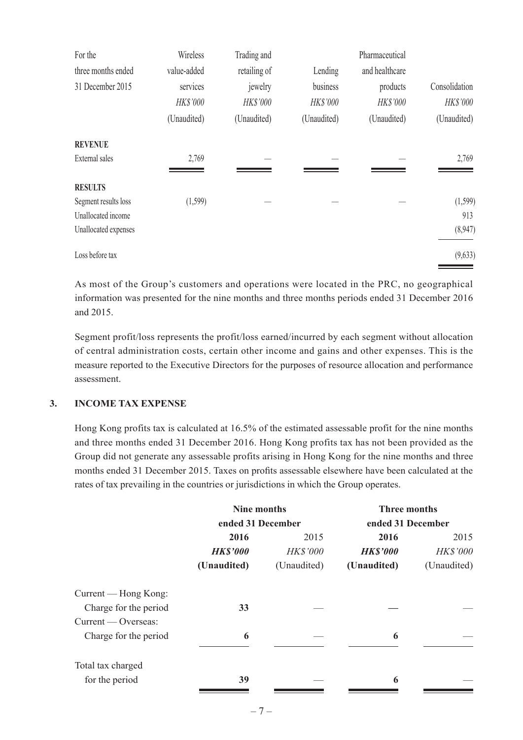| Wireless<br>Trading and<br>For the |             |              |             |                |               |
|------------------------------------|-------------|--------------|-------------|----------------|---------------|
| three months ended                 | value-added | retailing of | Lending     | and healthcare |               |
| 31 December 2015                   | services    | jewelry      | business    | products       | Consolidation |
|                                    | HK\$'000    | HK\$'000     | HK\$'000    | HK\$'000       | HK\$'000      |
|                                    | (Unaudited) | (Unaudited)  | (Unaudited) | (Unaudited)    | (Unaudited)   |
| <b>REVENUE</b>                     |             |              |             |                |               |
| External sales                     | 2,769       |              |             |                | 2,769         |
| <b>RESULTS</b>                     |             |              |             |                |               |
| Segment results loss               | (1,599)     |              |             |                | (1, 599)      |
| Unallocated income                 |             |              |             |                | 913           |
| Unallocated expenses               |             |              |             |                | (8,947)       |
| Loss before tax                    |             |              |             |                | (9,633)       |

As most of the Group's customers and operations were located in the PRC, no geographical information was presented for the nine months and three months periods ended 31 December 2016 and 2015.

Segment profit/loss represents the profit/loss earned/incurred by each segment without allocation of central administration costs, certain other income and gains and other expenses. This is the measure reported to the Executive Directors for the purposes of resource allocation and performance assessment.

#### **3. Income Tax Expense**

Hong Kong profits tax is calculated at 16.5% of the estimated assessable profit for the nine months and three months ended 31 December 2016. Hong Kong profits tax has not been provided as the Group did not generate any assessable profits arising in Hong Kong for the nine months and three months ended 31 December 2015. Taxes on profits assessable elsewhere have been calculated at the rates of tax prevailing in the countries or jurisdictions in which the Group operates.

|                       | Nine months       |                 | <b>Three months</b> |             |  |  |
|-----------------------|-------------------|-----------------|---------------------|-------------|--|--|
|                       | ended 31 December |                 | ended 31 December   |             |  |  |
|                       | 2016              | 2015            | 2016                | 2015        |  |  |
|                       | <b>HK\$'000</b>   | <b>HK\$'000</b> | <b>HK\$'000</b>     | HK\$'000    |  |  |
|                       | (Unaudited)       | (Unaudited)     | (Unaudited)         | (Unaudited) |  |  |
| Current — Hong Kong:  |                   |                 |                     |             |  |  |
| Charge for the period | 33                |                 |                     |             |  |  |
| Current — Overseas:   |                   |                 |                     |             |  |  |
| Charge for the period | 6                 |                 | 6                   |             |  |  |
| Total tax charged     |                   |                 |                     |             |  |  |
| for the period        | 39                |                 | 6                   |             |  |  |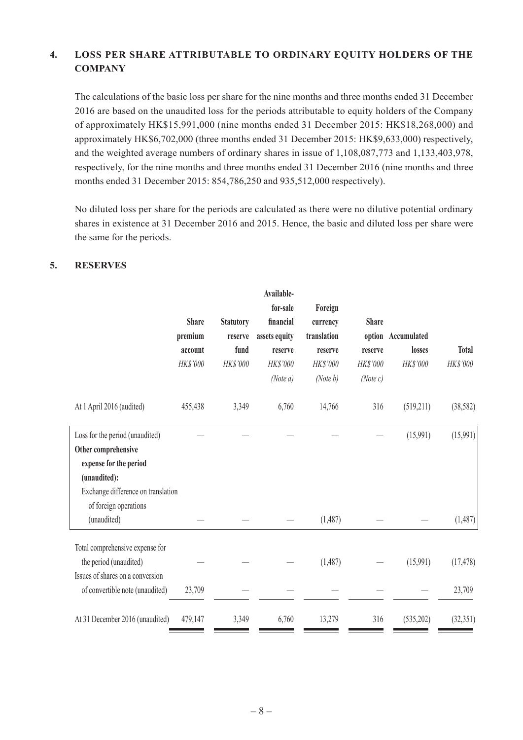# **4. Loss Per Share Attributable to ordinary Equity Holders of the Company**

The calculations of the basic loss per share for the nine months and three months ended 31 December 2016 are based on the unaudited loss for the periods attributable to equity holders of the Company of approximately HK\$15,991,000 (nine months ended 31 December 2015: HK\$18,268,000) and approximately HK\$6,702,000 (three months ended 31 December 2015: HK\$9,633,000) respectively, and the weighted average numbers of ordinary shares in issue of 1,108,087,773 and 1,133,403,978, respectively, for the nine months and three months ended 31 December 2016 (nine months and three months ended 31 December 2015: 854,786,250 and 935,512,000 respectively).

No diluted loss per share for the periods are calculated as there were no dilutive potential ordinary shares in existence at 31 December 2016 and 2015. Hence, the basic and diluted loss per share were the same for the periods.

 **Available-**

#### **5. Reserves**

|                                                                                                                                                                 | <b>Share</b><br>premium<br>account<br>HK\$'000 | <b>Statutory</b><br>reserve<br>fund<br>HK\$'000 | Availault-<br>for-sale<br>financial<br>assets equity<br>reserve<br>HK\$'000<br>(Note a) | Foreign<br>currency<br>translation<br>reserve<br>HK\$'000<br>(Note b) | <b>Share</b><br>reserve<br>HK\$'000<br>(Note c) | option Accumulated<br>losses<br><b>HK\$'000</b> | <b>Total</b><br>HK\$'000 |
|-----------------------------------------------------------------------------------------------------------------------------------------------------------------|------------------------------------------------|-------------------------------------------------|-----------------------------------------------------------------------------------------|-----------------------------------------------------------------------|-------------------------------------------------|-------------------------------------------------|--------------------------|
| At 1 April 2016 (audited)                                                                                                                                       | 455,438                                        | 3,349                                           | 6,760                                                                                   | 14,766                                                                | 316                                             | (519,211)                                       | (38, 582)                |
| Loss for the period (unaudited)<br>Other comprehensive<br>expense for the period<br>(unaudited):<br>Exchange difference on translation<br>of foreign operations |                                                |                                                 |                                                                                         |                                                                       |                                                 | (15,991)                                        | (15,991)                 |
| (unaudited)                                                                                                                                                     |                                                |                                                 |                                                                                         | (1,487)                                                               |                                                 |                                                 | (1,487)                  |
| Total comprehensive expense for<br>the period (unaudited)<br>Issues of shares on a conversion<br>of convertible note (unaudited)                                | 23,709                                         |                                                 |                                                                                         | (1,487)                                                               |                                                 | (15,991)                                        | (17, 478)<br>23,709      |
| At 31 December 2016 (unaudited)                                                                                                                                 | 479,147                                        | 3,349                                           | 6,760                                                                                   | 13,279                                                                | 316                                             | (535,202)                                       | (32, 351)                |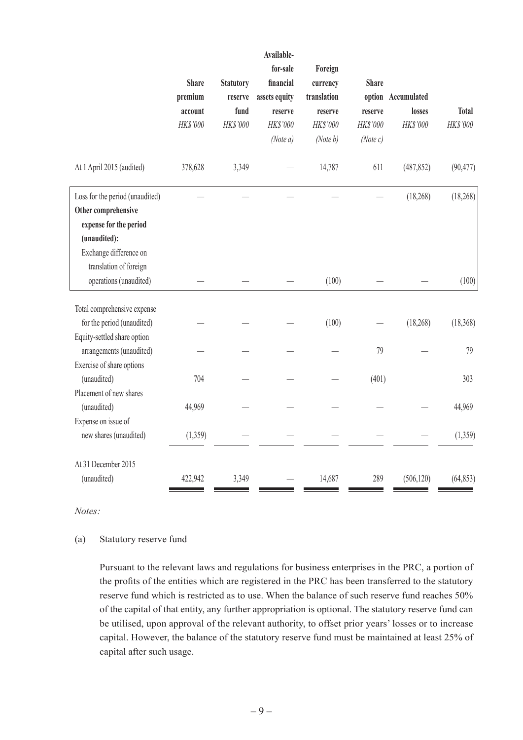|                                                                                            | <b>Share</b><br>premium<br>account<br>HK\$'000 | <b>Statutory</b><br>reserve<br>fund<br>HK\$'000 | Available-<br>for-sale<br>financial<br>assets equity<br>reserve<br>HK\$'000 | Foreign<br>currency<br>translation<br>reserve<br>HK\$'000 | <b>Share</b><br>option<br>reserve<br>HK\$'000 | Accumulated<br>losses<br>HK\$'000 | <b>Total</b><br>HK\$'000 |
|--------------------------------------------------------------------------------------------|------------------------------------------------|-------------------------------------------------|-----------------------------------------------------------------------------|-----------------------------------------------------------|-----------------------------------------------|-----------------------------------|--------------------------|
|                                                                                            |                                                |                                                 | (Note a)                                                                    | (Note b)                                                  | (Note c)                                      |                                   |                          |
| At 1 April 2015 (audited)                                                                  | 378,628                                        | 3,349                                           |                                                                             | 14,787                                                    | 611                                           | (487, 852)                        | (90, 477)                |
| Loss for the period (unaudited)<br>Other comprehensive<br>expense for the period           |                                                |                                                 |                                                                             |                                                           |                                               | (18, 268)                         | (18, 268)                |
| (unaudited):<br>Exchange difference on<br>translation of foreign<br>operations (unaudited) |                                                |                                                 |                                                                             | (100)                                                     |                                               |                                   | (100)                    |
| Total comprehensive expense<br>for the period (unaudited)<br>Equity-settled share option   |                                                |                                                 |                                                                             | (100)                                                     |                                               | (18, 268)                         | (18, 368)                |
| arrangements (unaudited)<br>Exercise of share options                                      |                                                |                                                 |                                                                             |                                                           | 79                                            |                                   | 79                       |
| (unaudited)<br>Placement of new shares                                                     | 704                                            |                                                 |                                                                             |                                                           | (401)                                         |                                   | 303                      |
| (unaudited)<br>Expense on issue of                                                         | 44,969                                         |                                                 |                                                                             |                                                           |                                               |                                   | 44,969                   |
| new shares (unaudited)                                                                     | (1,359)                                        |                                                 |                                                                             |                                                           |                                               |                                   | (1,359)                  |
| At 31 December 2015<br>(unaudited)                                                         | 422,942                                        | 3,349                                           |                                                                             | 14,687                                                    | 289                                           | (506, 120)                        | (64, 853)                |

*Notes:*

#### (a) Statutory reserve fund

Pursuant to the relevant laws and regulations for business enterprises in the PRC, a portion of the profits of the entities which are registered in the PRC has been transferred to the statutory reserve fund which is restricted as to use. When the balance of such reserve fund reaches 50% of the capital of that entity, any further appropriation is optional. The statutory reserve fund can be utilised, upon approval of the relevant authority, to offset prior years' losses or to increase capital. However, the balance of the statutory reserve fund must be maintained at least 25% of capital after such usage.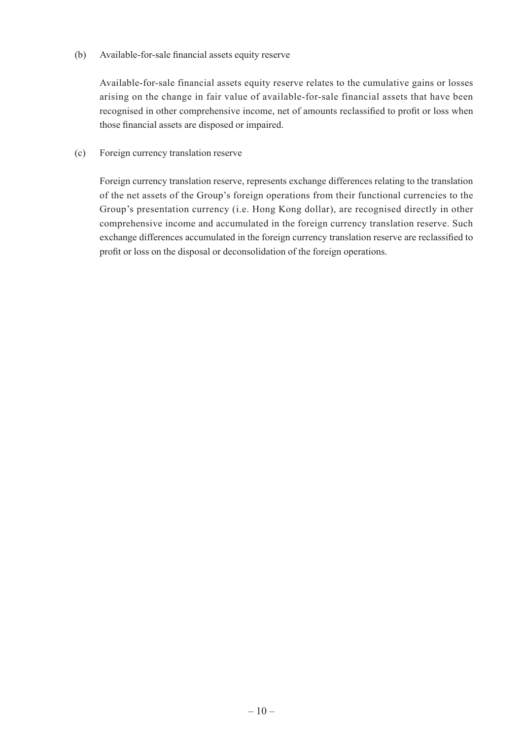(b) Available-for-sale financial assets equity reserve

Available-for-sale financial assets equity reserve relates to the cumulative gains or losses arising on the change in fair value of available-for-sale financial assets that have been recognised in other comprehensive income, net of amounts reclassified to profit or loss when those financial assets are disposed or impaired.

(c) Foreign currency translation reserve

Foreign currency translation reserve, represents exchange differences relating to the translation of the net assets of the Group's foreign operations from their functional currencies to the Group's presentation currency (i.e. Hong Kong dollar), are recognised directly in other comprehensive income and accumulated in the foreign currency translation reserve. Such exchange differences accumulated in the foreign currency translation reserve are reclassified to profit or loss on the disposal or deconsolidation of the foreign operations.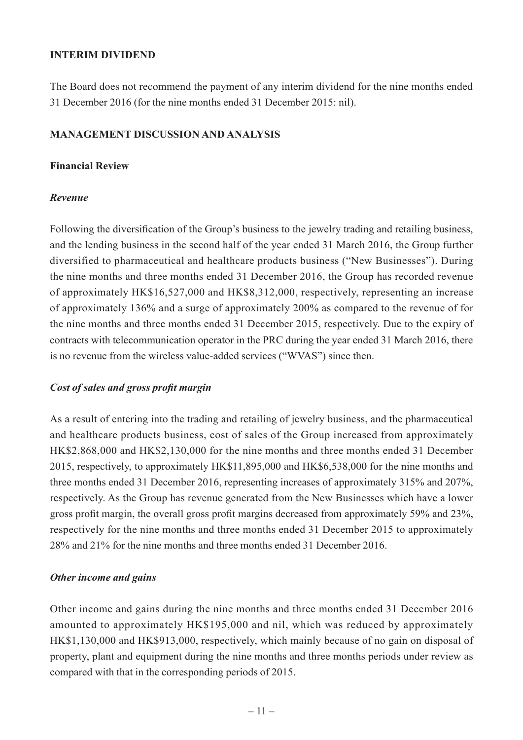#### **INTERIM DIVIDEND**

The Board does not recommend the payment of any interim dividend for the nine months ended 31 December 2016 (for the nine months ended 31 December 2015: nil).

#### **MANAGEMENT DISCUSSION AND ANALYSIS**

#### **Financial Review**

#### *Revenue*

Following the diversification of the Group's business to the jewelry trading and retailing business, and the lending business in the second half of the year ended 31 March 2016, the Group further diversified to pharmaceutical and healthcare products business ("New Businesses"). During the nine months and three months ended 31 December 2016, the Group has recorded revenue of approximately HK\$16,527,000 and HK\$8,312,000, respectively, representing an increase of approximately 136% and a surge of approximately 200% as compared to the revenue of for the nine months and three months ended 31 December 2015, respectively. Due to the expiry of contracts with telecommunication operator in the PRC during the year ended 31 March 2016, there is no revenue from the wireless value-added services ("WVAS") since then.

#### *Cost of sales and gross profit margin*

As a result of entering into the trading and retailing of jewelry business, and the pharmaceutical and healthcare products business, cost of sales of the Group increased from approximately HK\$2,868,000 and HK\$2,130,000 for the nine months and three months ended 31 December 2015, respectively, to approximately HK\$11,895,000 and HK\$6,538,000 for the nine months and three months ended 31 December 2016, representing increases of approximately 315% and 207%, respectively. As the Group has revenue generated from the New Businesses which have a lower gross profit margin, the overall gross profit margins decreased from approximately 59% and 23%, respectively for the nine months and three months ended 31 December 2015 to approximately 28% and 21% for the nine months and three months ended 31 December 2016.

#### *Other income and gains*

Other income and gains during the nine months and three months ended 31 December 2016 amounted to approximately HK\$195,000 and nil, which was reduced by approximately HK\$1,130,000 and HK\$913,000, respectively, which mainly because of no gain on disposal of property, plant and equipment during the nine months and three months periods under review as compared with that in the corresponding periods of 2015.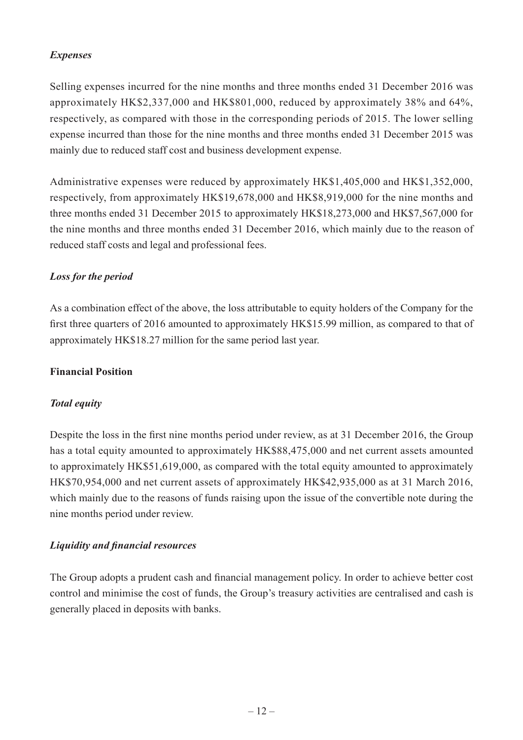# *Expenses*

Selling expenses incurred for the nine months and three months ended 31 December 2016 was approximately HK\$2,337,000 and HK\$801,000, reduced by approximately 38% and 64%, respectively, as compared with those in the corresponding periods of 2015. The lower selling expense incurred than those for the nine months and three months ended 31 December 2015 was mainly due to reduced staff cost and business development expense.

Administrative expenses were reduced by approximately HK\$1,405,000 and HK\$1,352,000, respectively, from approximately HK\$19,678,000 and HK\$8,919,000 for the nine months and three months ended 31 December 2015 to approximately HK\$18,273,000 and HK\$7,567,000 for the nine months and three months ended 31 December 2016, which mainly due to the reason of reduced staff costs and legal and professional fees.

# *Loss for the period*

As a combination effect of the above, the loss attributable to equity holders of the Company for the first three quarters of 2016 amounted to approximately HK\$15.99 million, as compared to that of approximately HK\$18.27 million for the same period last year.

#### **Financial Position**

# *Total equity*

Despite the loss in the first nine months period under review, as at 31 December 2016, the Group has a total equity amounted to approximately HK\$88,475,000 and net current assets amounted to approximately HK\$51,619,000, as compared with the total equity amounted to approximately HK\$70,954,000 and net current assets of approximately HK\$42,935,000 as at 31 March 2016, which mainly due to the reasons of funds raising upon the issue of the convertible note during the nine months period under review.

# *Liquidity and financial resources*

The Group adopts a prudent cash and financial management policy. In order to achieve better cost control and minimise the cost of funds, the Group's treasury activities are centralised and cash is generally placed in deposits with banks.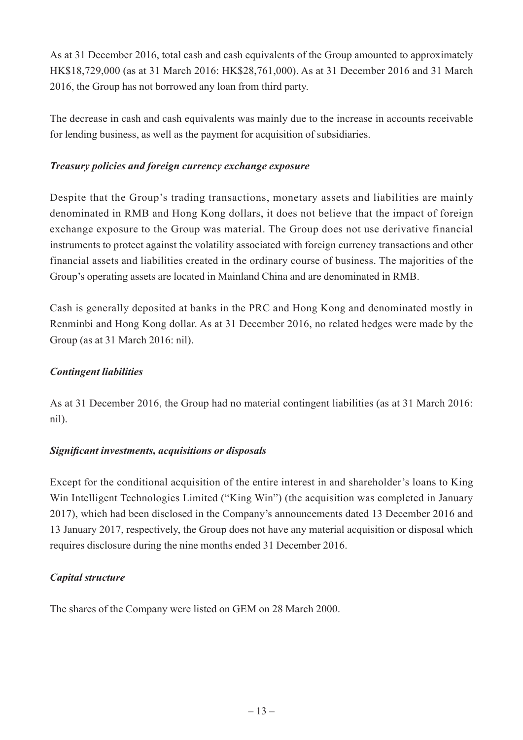As at 31 December 2016, total cash and cash equivalents of the Group amounted to approximately HK\$18,729,000 (as at 31 March 2016: HK\$28,761,000). As at 31 December 2016 and 31 March 2016, the Group has not borrowed any loan from third party.

The decrease in cash and cash equivalents was mainly due to the increase in accounts receivable for lending business, as well as the payment for acquisition of subsidiaries.

#### *Treasury policies and foreign currency exchange exposure*

Despite that the Group's trading transactions, monetary assets and liabilities are mainly denominated in RMB and Hong Kong dollars, it does not believe that the impact of foreign exchange exposure to the Group was material. The Group does not use derivative financial instruments to protect against the volatility associated with foreign currency transactions and other financial assets and liabilities created in the ordinary course of business. The majorities of the Group's operating assets are located in Mainland China and are denominated in RMB.

Cash is generally deposited at banks in the PRC and Hong Kong and denominated mostly in Renminbi and Hong Kong dollar. As at 31 December 2016, no related hedges were made by the Group (as at 31 March 2016: nil).

#### *Contingent liabilities*

As at 31 December 2016, the Group had no material contingent liabilities (as at 31 March 2016: nil).

# *Significant investments, acquisitions or disposals*

Except for the conditional acquisition of the entire interest in and shareholder's loans to King Win Intelligent Technologies Limited ("King Win") (the acquisition was completed in January 2017), which had been disclosed in the Company's announcements dated 13 December 2016 and 13 January 2017, respectively, the Group does not have any material acquisition or disposal which requires disclosure during the nine months ended 31 December 2016.

# *Capital structure*

The shares of the Company were listed on GEM on 28 March 2000.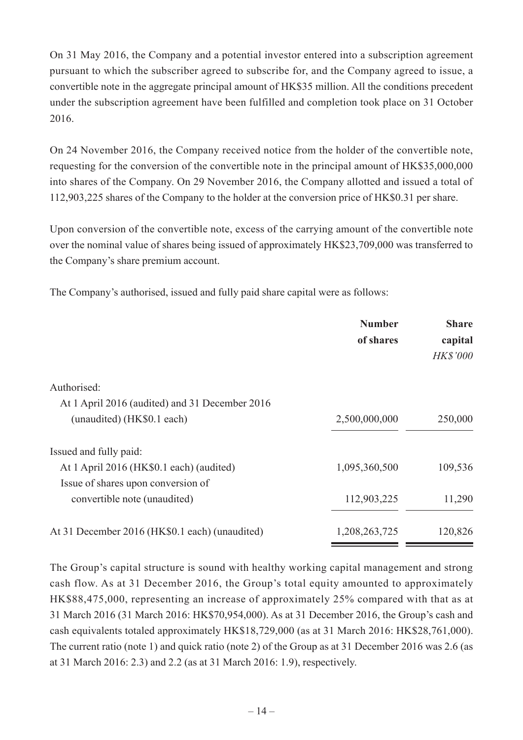On 31 May 2016, the Company and a potential investor entered into a subscription agreement pursuant to which the subscriber agreed to subscribe for, and the Company agreed to issue, a convertible note in the aggregate principal amount of HK\$35 million. All the conditions precedent under the subscription agreement have been fulfilled and completion took place on 31 October 2016.

On 24 November 2016, the Company received notice from the holder of the convertible note, requesting for the conversion of the convertible note in the principal amount of HK\$35,000,000 into shares of the Company. On 29 November 2016, the Company allotted and issued a total of 112,903,225 shares of the Company to the holder at the conversion price of HK\$0.31 per share.

Upon conversion of the convertible note, excess of the carrying amount of the convertible note over the nominal value of shares being issued of approximately HK\$23,709,000 was transferred to the Company's share premium account.

The Company's authorised, issued and fully paid share capital were as follows:

|                                                | <b>Number</b><br>of shares | <b>Share</b><br>capital<br><b>HK\$'000</b> |
|------------------------------------------------|----------------------------|--------------------------------------------|
| Authorised:                                    |                            |                                            |
| At 1 April 2016 (audited) and 31 December 2016 |                            |                                            |
| (unaudited) (HK\$0.1 each)                     | 2,500,000,000              | 250,000                                    |
| Issued and fully paid:                         |                            |                                            |
| At 1 April 2016 (HK\$0.1 each) (audited)       | 1,095,360,500              | 109,536                                    |
| Issue of shares upon conversion of             |                            |                                            |
| convertible note (unaudited)                   | 112,903,225                | 11,290                                     |
| At 31 December 2016 (HK\$0.1 each) (unaudited) | 1,208,263,725              | 120,826                                    |

The Group's capital structure is sound with healthy working capital management and strong cash flow. As at 31 December 2016, the Group's total equity amounted to approximately HK\$88,475,000, representing an increase of approximately 25% compared with that as at 31 March 2016 (31 March 2016: HK\$70,954,000). As at 31 December 2016, the Group's cash and cash equivalents totaled approximately HK\$18,729,000 (as at 31 March 2016: HK\$28,761,000). The current ratio (note 1) and quick ratio (note 2) of the Group as at 31 December 2016 was 2.6 (as at 31 March 2016: 2.3) and 2.2 (as at 31 March 2016: 1.9), respectively.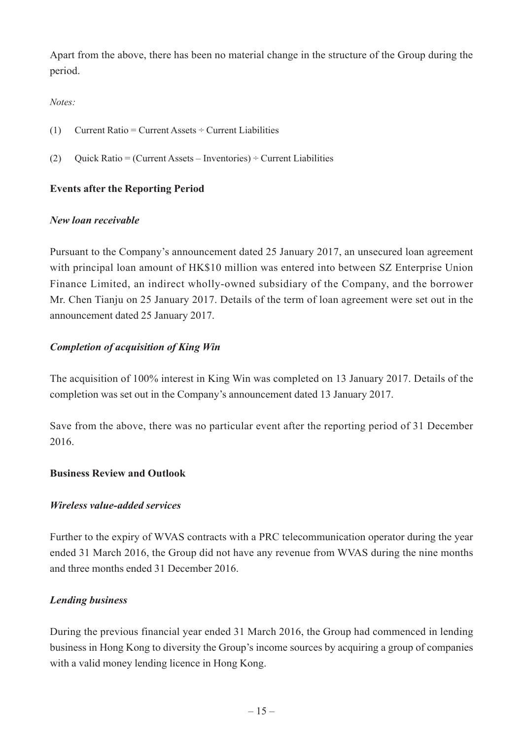Apart from the above, there has been no material change in the structure of the Group during the period.

#### *Notes:*

- (1) Current Ratio = Current Assets  $\div$  Current Liabilities
- (2) Quick Ratio = (Current Assets Inventories)  $\div$  Current Liabilities

# **Events after the Reporting Period**

#### *New loan receivable*

Pursuant to the Company's announcement dated 25 January 2017, an unsecured loan agreement with principal loan amount of HK\$10 million was entered into between SZ Enterprise Union Finance Limited, an indirect wholly-owned subsidiary of the Company, and the borrower Mr. Chen Tianju on 25 January 2017. Details of the term of loan agreement were set out in the announcement dated 25 January 2017.

# *Completion of acquisition of King Win*

The acquisition of 100% interest in King Win was completed on 13 January 2017. Details of the completion was set out in the Company's announcement dated 13 January 2017.

Save from the above, there was no particular event after the reporting period of 31 December 2016.

#### **Business Review and Outlook**

#### *Wireless value-added services*

Further to the expiry of WVAS contracts with a PRC telecommunication operator during the year ended 31 March 2016, the Group did not have any revenue from WVAS during the nine months and three months ended 31 December 2016.

#### *Lending business*

During the previous financial year ended 31 March 2016, the Group had commenced in lending business in Hong Kong to diversity the Group's income sources by acquiring a group of companies with a valid money lending licence in Hong Kong.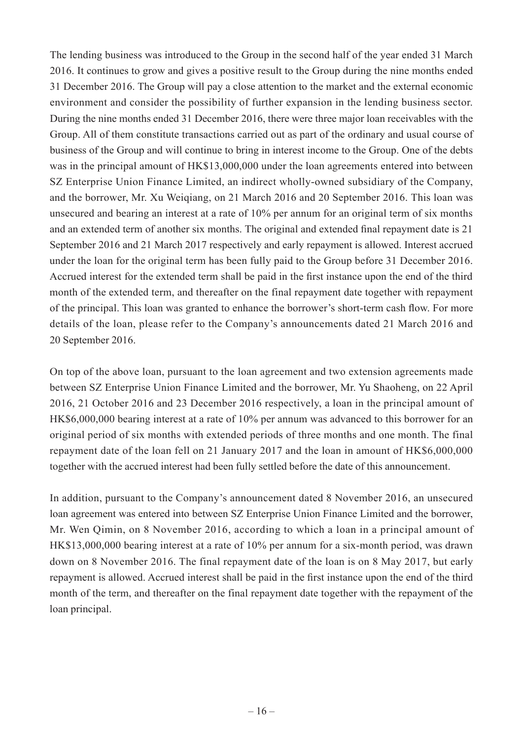The lending business was introduced to the Group in the second half of the year ended 31 March 2016. It continues to grow and gives a positive result to the Group during the nine months ended 31 December 2016. The Group will pay a close attention to the market and the external economic environment and consider the possibility of further expansion in the lending business sector. During the nine months ended 31 December 2016, there were three major loan receivables with the Group. All of them constitute transactions carried out as part of the ordinary and usual course of business of the Group and will continue to bring in interest income to the Group. One of the debts was in the principal amount of HK\$13,000,000 under the loan agreements entered into between SZ Enterprise Union Finance Limited, an indirect wholly-owned subsidiary of the Company, and the borrower, Mr. Xu Weiqiang, on 21 March 2016 and 20 September 2016. This loan was unsecured and bearing an interest at a rate of 10% per annum for an original term of six months and an extended term of another six months. The original and extended final repayment date is 21 September 2016 and 21 March 2017 respectively and early repayment is allowed. Interest accrued under the loan for the original term has been fully paid to the Group before 31 December 2016. Accrued interest for the extended term shall be paid in the first instance upon the end of the third month of the extended term, and thereafter on the final repayment date together with repayment of the principal. This loan was granted to enhance the borrower's short-term cash flow. For more details of the loan, please refer to the Company's announcements dated 21 March 2016 and 20 September 2016.

On top of the above loan, pursuant to the loan agreement and two extension agreements made between SZ Enterprise Union Finance Limited and the borrower, Mr. Yu Shaoheng, on 22 April 2016, 21 October 2016 and 23 December 2016 respectively, a loan in the principal amount of HK\$6,000,000 bearing interest at a rate of 10% per annum was advanced to this borrower for an original period of six months with extended periods of three months and one month. The final repayment date of the loan fell on 21 January 2017 and the loan in amount of HK\$6,000,000 together with the accrued interest had been fully settled before the date of this announcement.

In addition, pursuant to the Company's announcement dated 8 November 2016, an unsecured loan agreement was entered into between SZ Enterprise Union Finance Limited and the borrower, Mr. Wen Qimin, on 8 November 2016, according to which a loan in a principal amount of HK\$13,000,000 bearing interest at a rate of 10% per annum for a six-month period, was drawn down on 8 November 2016. The final repayment date of the loan is on 8 May 2017, but early repayment is allowed. Accrued interest shall be paid in the first instance upon the end of the third month of the term, and thereafter on the final repayment date together with the repayment of the loan principal.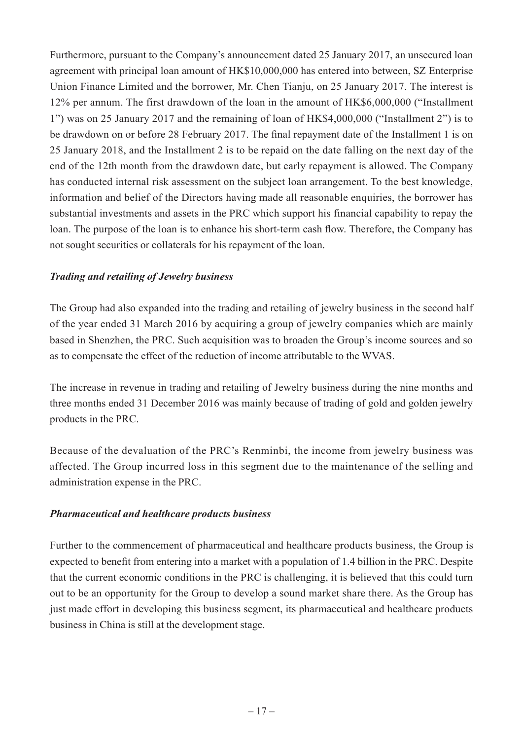Furthermore, pursuant to the Company's announcement dated 25 January 2017, an unsecured loan agreement with principal loan amount of HK\$10,000,000 has entered into between, SZ Enterprise Union Finance Limited and the borrower, Mr. Chen Tianju, on 25 January 2017. The interest is 12% per annum. The first drawdown of the loan in the amount of HK\$6,000,000 ("Installment 1") was on 25 January 2017 and the remaining of loan of HK\$4,000,000 ("Installment 2") is to be drawdown on or before 28 February 2017. The final repayment date of the Installment 1 is on 25 January 2018, and the Installment 2 is to be repaid on the date falling on the next day of the end of the 12th month from the drawdown date, but early repayment is allowed. The Company has conducted internal risk assessment on the subject loan arrangement. To the best knowledge, information and belief of the Directors having made all reasonable enquiries, the borrower has substantial investments and assets in the PRC which support his financial capability to repay the loan. The purpose of the loan is to enhance his short-term cash flow. Therefore, the Company has not sought securities or collaterals for his repayment of the loan.

# *Trading and retailing of Jewelry business*

The Group had also expanded into the trading and retailing of jewelry business in the second half of the year ended 31 March 2016 by acquiring a group of jewelry companies which are mainly based in Shenzhen, the PRC. Such acquisition was to broaden the Group's income sources and so as to compensate the effect of the reduction of income attributable to the WVAS.

The increase in revenue in trading and retailing of Jewelry business during the nine months and three months ended 31 December 2016 was mainly because of trading of gold and golden jewelry products in the PRC.

Because of the devaluation of the PRC's Renminbi, the income from jewelry business was affected. The Group incurred loss in this segment due to the maintenance of the selling and administration expense in the PRC.

# *Pharmaceutical and healthcare products business*

Further to the commencement of pharmaceutical and healthcare products business, the Group is expected to benefit from entering into a market with a population of 1.4 billion in the PRC. Despite that the current economic conditions in the PRC is challenging, it is believed that this could turn out to be an opportunity for the Group to develop a sound market share there. As the Group has just made effort in developing this business segment, its pharmaceutical and healthcare products business in China is still at the development stage.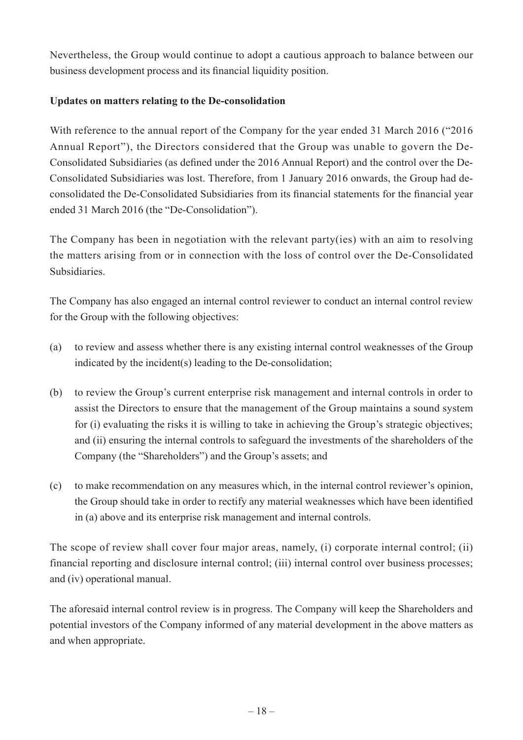Nevertheless, the Group would continue to adopt a cautious approach to balance between our business development process and its financial liquidity position.

# **Updates on matters relating to the De-consolidation**

With reference to the annual report of the Company for the year ended 31 March 2016 ("2016 Annual Report"), the Directors considered that the Group was unable to govern the De-Consolidated Subsidiaries (as defined under the 2016 Annual Report) and the control over the De-Consolidated Subsidiaries was lost. Therefore, from 1 January 2016 onwards, the Group had deconsolidated the De-Consolidated Subsidiaries from its financial statements for the financial year ended 31 March 2016 (the "De-Consolidation").

The Company has been in negotiation with the relevant party(ies) with an aim to resolving the matters arising from or in connection with the loss of control over the De-Consolidated Subsidiaries.

The Company has also engaged an internal control reviewer to conduct an internal control review for the Group with the following objectives:

- (a) to review and assess whether there is any existing internal control weaknesses of the Group indicated by the incident(s) leading to the De-consolidation;
- (b) to review the Group's current enterprise risk management and internal controls in order to assist the Directors to ensure that the management of the Group maintains a sound system for (i) evaluating the risks it is willing to take in achieving the Group's strategic objectives; and (ii) ensuring the internal controls to safeguard the investments of the shareholders of the Company (the "Shareholders") and the Group's assets; and
- (c) to make recommendation on any measures which, in the internal control reviewer's opinion, the Group should take in order to rectify any material weaknesses which have been identified in (a) above and its enterprise risk management and internal controls.

The scope of review shall cover four major areas, namely, (i) corporate internal control; (ii) financial reporting and disclosure internal control; (iii) internal control over business processes; and (iv) operational manual.

The aforesaid internal control review is in progress. The Company will keep the Shareholders and potential investors of the Company informed of any material development in the above matters as and when appropriate.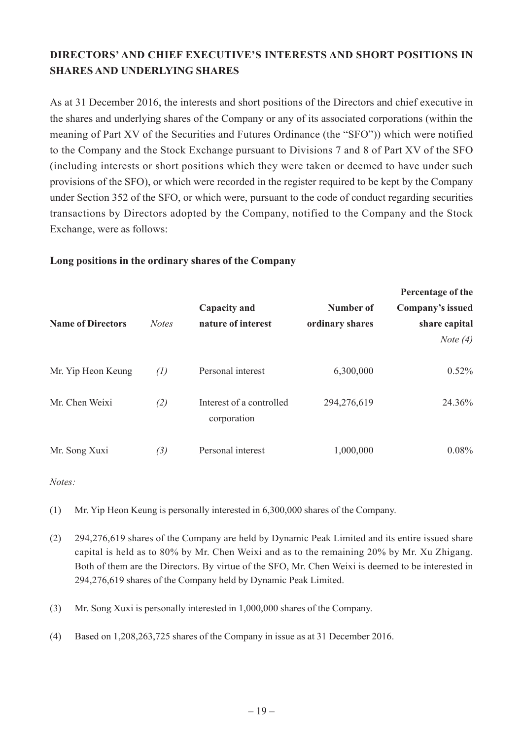# **DIRECTORS' AND CHIEF EXECUTIVE'S INTERESTS AND SHORT POSITIONS IN SHARES AND UNDERLYING SHARES**

As at 31 December 2016, the interests and short positions of the Directors and chief executive in the shares and underlying shares of the Company or any of its associated corporations (within the meaning of Part XV of the Securities and Futures Ordinance (the "SFO")) which were notified to the Company and the Stock Exchange pursuant to Divisions 7 and 8 of Part XV of the SFO (including interests or short positions which they were taken or deemed to have under such provisions of the SFO), or which were recorded in the register required to be kept by the Company under Section 352 of the SFO, or which were, pursuant to the code of conduct regarding securities transactions by Directors adopted by the Company, notified to the Company and the Stock Exchange, were as follows:

#### **Long positions in the ordinary shares of the Company**

|                          |              |                                         |                 | Percentage of the |
|--------------------------|--------------|-----------------------------------------|-----------------|-------------------|
|                          |              | <b>Capacity and</b>                     | Number of       | Company's issued  |
| <b>Name of Directors</b> | <b>Notes</b> | nature of interest                      | ordinary shares | share capital     |
|                          |              |                                         |                 | <i>Note</i> $(4)$ |
| Mr. Yip Heon Keung       | (1)          | Personal interest                       | 6,300,000       | $0.52\%$          |
| Mr. Chen Weixi           | (2)          | Interest of a controlled<br>corporation | 294,276,619     | 24.36%            |
| Mr. Song Xuxi            | (3)          | Personal interest                       | 1,000,000       | $0.08\%$          |

*Notes:*

- (1) Mr. Yip Heon Keung is personally interested in 6,300,000 shares of the Company.
- (2) 294,276,619 shares of the Company are held by Dynamic Peak Limited and its entire issued share capital is held as to 80% by Mr. Chen Weixi and as to the remaining 20% by Mr. Xu Zhigang. Both of them are the Directors. By virtue of the SFO, Mr. Chen Weixi is deemed to be interested in 294,276,619 shares of the Company held by Dynamic Peak Limited.
- (3) Mr. Song Xuxi is personally interested in 1,000,000 shares of the Company.
- (4) Based on 1,208,263,725 shares of the Company in issue as at 31 December 2016.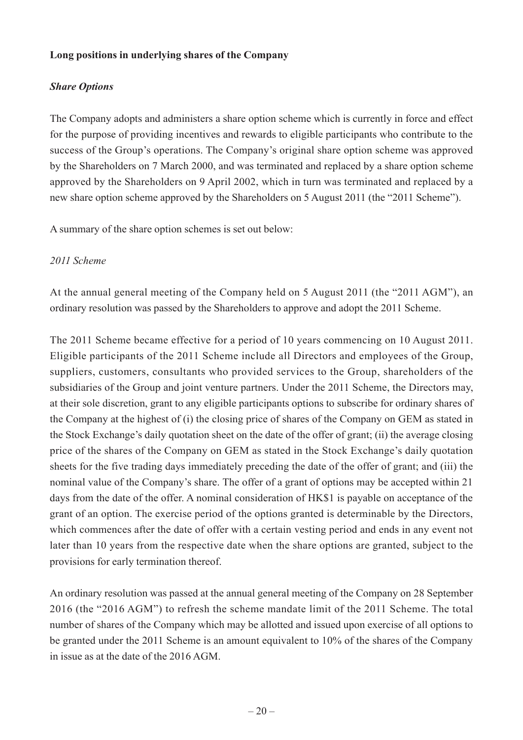#### **Long positions in underlying shares of the Company**

# *Share Options*

The Company adopts and administers a share option scheme which is currently in force and effect for the purpose of providing incentives and rewards to eligible participants who contribute to the success of the Group's operations. The Company's original share option scheme was approved by the Shareholders on 7 March 2000, and was terminated and replaced by a share option scheme approved by the Shareholders on 9 April 2002, which in turn was terminated and replaced by a new share option scheme approved by the Shareholders on 5 August 2011 (the "2011 Scheme").

A summary of the share option schemes is set out below:

#### *2011 Scheme*

At the annual general meeting of the Company held on 5 August 2011 (the "2011 AGM"), an ordinary resolution was passed by the Shareholders to approve and adopt the 2011 Scheme.

The 2011 Scheme became effective for a period of 10 years commencing on 10 August 2011. Eligible participants of the 2011 Scheme include all Directors and employees of the Group, suppliers, customers, consultants who provided services to the Group, shareholders of the subsidiaries of the Group and joint venture partners. Under the 2011 Scheme, the Directors may, at their sole discretion, grant to any eligible participants options to subscribe for ordinary shares of the Company at the highest of (i) the closing price of shares of the Company on GEM as stated in the Stock Exchange's daily quotation sheet on the date of the offer of grant; (ii) the average closing price of the shares of the Company on GEM as stated in the Stock Exchange's daily quotation sheets for the five trading days immediately preceding the date of the offer of grant; and (iii) the nominal value of the Company's share. The offer of a grant of options may be accepted within 21 days from the date of the offer. A nominal consideration of HK\$1 is payable on acceptance of the grant of an option. The exercise period of the options granted is determinable by the Directors, which commences after the date of offer with a certain vesting period and ends in any event not later than 10 years from the respective date when the share options are granted, subject to the provisions for early termination thereof.

An ordinary resolution was passed at the annual general meeting of the Company on 28 September 2016 (the "2016 AGM") to refresh the scheme mandate limit of the 2011 Scheme. The total number of shares of the Company which may be allotted and issued upon exercise of all options to be granted under the 2011 Scheme is an amount equivalent to 10% of the shares of the Company in issue as at the date of the 2016 AGM.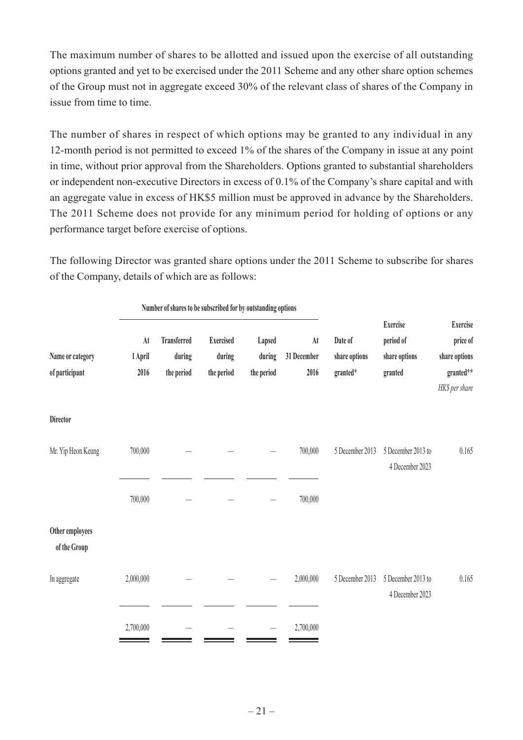The maximum number of shares to be allotted and issued upon the exercise of all outstanding options granted and yet to be exercised under the 2011 Scheme and any other share option schemes of the Group must not in aggregate exceed 30% of the relevant class of shares of the Company in issue from time to time.

The number of shares in respect of which options may be granted to any individual in any 12-month period is not permitted to exceed 1% of the shares of the Company in issue at any point in time, without prior approval from the Shareholders. Options granted to substantial shareholders or independent non-executive Directors in excess of 0.1% of the Company's share capital and with an aggregate value in excess of HK\$5 million must be approved in advance by the Shareholders. The 2011 Scheme does not provide for any minimum period for holding of options or any performance target before exercise of options.

The following Director was granted share options under the 2011 Scheme to subscribe for shares of the Company, details of which are as follows:

|                                    | Number of shares to be subscribed for by outstanding options |                                            |                                          |                                |                           |                                      |                                                          |                                                                             |
|------------------------------------|--------------------------------------------------------------|--------------------------------------------|------------------------------------------|--------------------------------|---------------------------|--------------------------------------|----------------------------------------------------------|-----------------------------------------------------------------------------|
| Name or category<br>of participant | At<br>1 April<br>2016                                        | <b>Transferred</b><br>during<br>the period | <b>Exercised</b><br>during<br>the period | Lapsed<br>during<br>the period | At<br>31 December<br>2016 | Date of<br>share options<br>granted* | <b>Exercise</b><br>period of<br>share options<br>granted | <b>Exercise</b><br>price of<br>share options<br>granted**<br>HK\$ per share |
| <b>Director</b>                    |                                                              |                                            |                                          |                                |                           |                                      |                                                          |                                                                             |
| Mr. Yip Heon Keung                 | 700,000                                                      |                                            |                                          |                                | 700,000                   | 5 December 2013                      | 5 December 2013 to<br>4 December 2023                    | 0.165                                                                       |
|                                    | 700,000                                                      |                                            |                                          |                                | 700,000                   |                                      |                                                          |                                                                             |
| Other employees<br>of the Group    |                                                              |                                            |                                          |                                |                           |                                      |                                                          |                                                                             |
| In aggregate                       | 2,000,000                                                    |                                            |                                          |                                | 2,000,000                 | 5 December 2013                      | 5 December 2013 to<br>4 December 2023                    | 0.165                                                                       |
|                                    | 2,700,000                                                    |                                            |                                          |                                | 2,700,000                 |                                      |                                                          |                                                                             |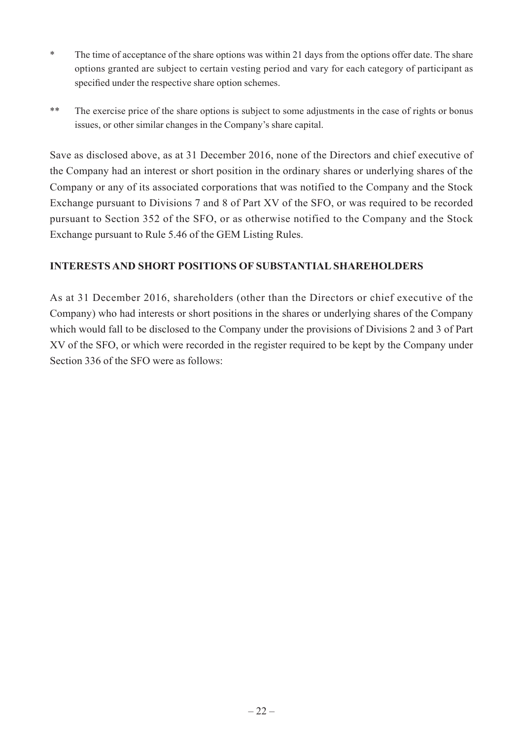- \* The time of acceptance of the share options was within 21 days from the options offer date. The share options granted are subject to certain vesting period and vary for each category of participant as specified under the respective share option schemes.
- \*\* The exercise price of the share options is subject to some adjustments in the case of rights or bonus issues, or other similar changes in the Company's share capital.

Save as disclosed above, as at 31 December 2016, none of the Directors and chief executive of the Company had an interest or short position in the ordinary shares or underlying shares of the Company or any of its associated corporations that was notified to the Company and the Stock Exchange pursuant to Divisions 7 and 8 of Part XV of the SFO, or was required to be recorded pursuant to Section 352 of the SFO, or as otherwise notified to the Company and the Stock Exchange pursuant to Rule 5.46 of the GEM Listing Rules.

# **INTERESTS AND SHORT POSITIONS OF SUBSTANTIAL SHAREHOLDERS**

As at 31 December 2016, shareholders (other than the Directors or chief executive of the Company) who had interests or short positions in the shares or underlying shares of the Company which would fall to be disclosed to the Company under the provisions of Divisions 2 and 3 of Part XV of the SFO, or which were recorded in the register required to be kept by the Company under Section 336 of the SFO were as follows: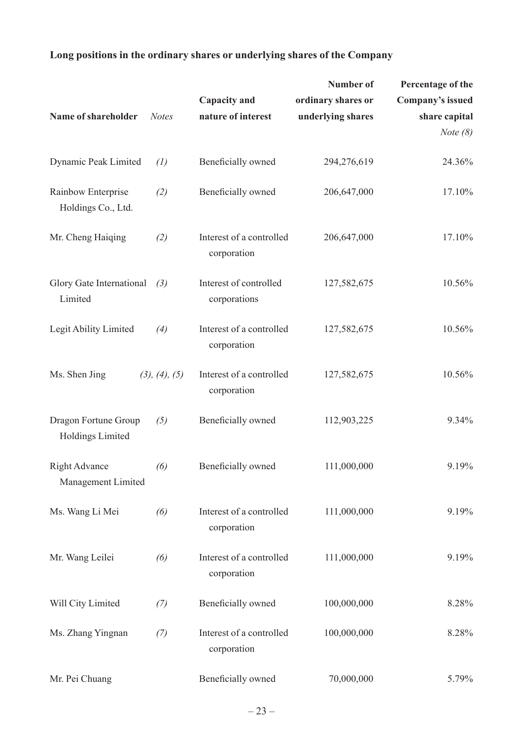# **Number of Percentage of the Capacity and ordinary shares or Company's issued Name of shareholder** *Notes* **nature of interest underlying shares share capital**  *Note (8)* Dynamic Peak Limited (1) Beneficially owned 294,276,619 24.36% Rainbow Enterprise *(2)* Beneficially owned  $206,647,000$  17.10% Holdings Co., Ltd. Mr. Cheng Haiqing *(2)* Interest of a controlled 206,647,000 17.10% corporation Glory Gate International *(3)* Interest of controlled 127,582,675 10.56% Limited corporations Legit Ability Limited (4) Interest of a controlled 127,582,675 10.56% corporation Ms. Shen Jing (3), (4), (5) Interest of a controlled 127,582,675 10.56% corporation Dragon Fortune Group (5) Beneficially owned 112,903,225 9.34% Holdings Limited Right Advance (6) Beneficially owned 111,000,000 9.19% Management Limited Ms. Wang Li Mei (6) Interest of a controlled 111,000,000 9.19% corporation Mr. Wang Leilei (6) Interest of a controlled 111,000,000 9.19% corporation Will City Limited  $(7)$  Beneficially owned  $100,000,000$  8.28% Ms. Zhang Yingnan (7) Interest of a controlled  $100,000,000$  8.28% corporation Mr. Pei Chuang Beneficially owned 70,000,000 5.79%

#### **Long positions in the ordinary shares or underlying shares of the Company**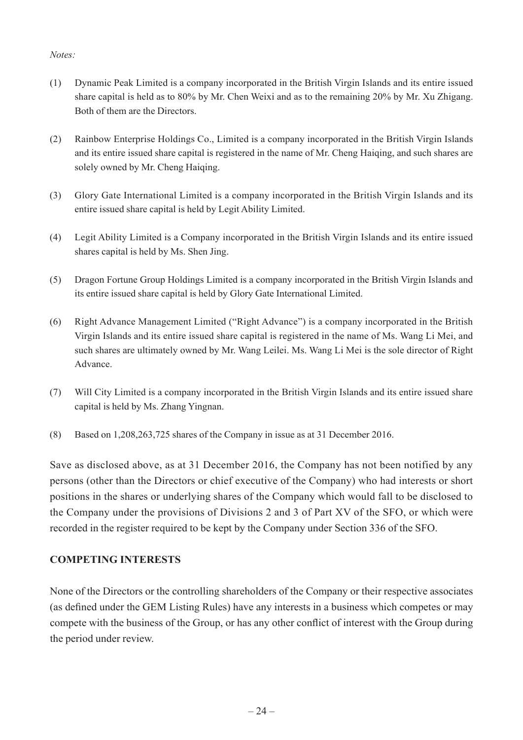#### *Notes:*

- (1) Dynamic Peak Limited is a company incorporated in the British Virgin Islands and its entire issued share capital is held as to 80% by Mr. Chen Weixi and as to the remaining 20% by Mr. Xu Zhigang. Both of them are the Directors.
- (2) Rainbow Enterprise Holdings Co., Limited is a company incorporated in the British Virgin Islands and its entire issued share capital is registered in the name of Mr. Cheng Haiqing, and such shares are solely owned by Mr. Cheng Haiqing.
- (3) Glory Gate International Limited is a company incorporated in the British Virgin Islands and its entire issued share capital is held by Legit Ability Limited.
- (4) Legit Ability Limited is a Company incorporated in the British Virgin Islands and its entire issued shares capital is held by Ms. Shen Jing.
- (5) Dragon Fortune Group Holdings Limited is a company incorporated in the British Virgin Islands and its entire issued share capital is held by Glory Gate International Limited.
- (6) Right Advance Management Limited ("Right Advance") is a company incorporated in the British Virgin Islands and its entire issued share capital is registered in the name of Ms. Wang Li Mei, and such shares are ultimately owned by Mr. Wang Leilei. Ms. Wang Li Mei is the sole director of Right Advance.
- (7) Will City Limited is a company incorporated in the British Virgin Islands and its entire issued share capital is held by Ms. Zhang Yingnan.
- (8) Based on 1,208,263,725 shares of the Company in issue as at 31 December 2016.

Save as disclosed above, as at 31 December 2016, the Company has not been notified by any persons (other than the Directors or chief executive of the Company) who had interests or short positions in the shares or underlying shares of the Company which would fall to be disclosed to the Company under the provisions of Divisions 2 and 3 of Part XV of the SFO, or which were recorded in the register required to be kept by the Company under Section 336 of the SFO.

# **COMPETING INTERESTS**

None of the Directors or the controlling shareholders of the Company or their respective associates (as defined under the GEM Listing Rules) have any interests in a business which competes or may compete with the business of the Group, or has any other conflict of interest with the Group during the period under review.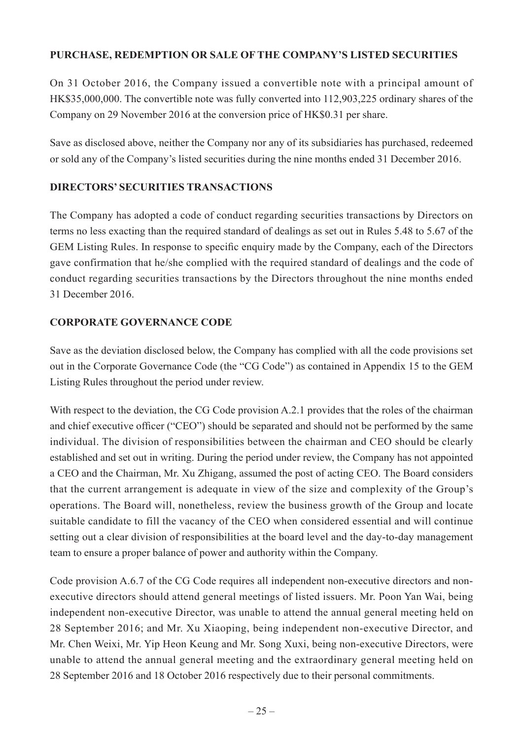# **PURCHASE, REDEMPTION OR SALE OF THE COMPANY'S LISTED SECURITIES**

On 31 October 2016, the Company issued a convertible note with a principal amount of HK\$35,000,000. The convertible note was fully converted into 112,903,225 ordinary shares of the Company on 29 November 2016 at the conversion price of HK\$0.31 per share.

Save as disclosed above, neither the Company nor any of its subsidiaries has purchased, redeemed or sold any of the Company's listed securities during the nine months ended 31 December 2016.

# **DIRECTORS' SECURITIES TRANSACTIONS**

The Company has adopted a code of conduct regarding securities transactions by Directors on terms no less exacting than the required standard of dealings as set out in Rules 5.48 to 5.67 of the GEM Listing Rules. In response to specific enquiry made by the Company, each of the Directors gave confirmation that he/she complied with the required standard of dealings and the code of conduct regarding securities transactions by the Directors throughout the nine months ended 31 December 2016.

# **CORPORATE GOVERNANCE CODE**

Save as the deviation disclosed below, the Company has complied with all the code provisions set out in the Corporate Governance Code (the "CG Code") as contained in Appendix 15 to the GEM Listing Rules throughout the period under review.

With respect to the deviation, the CG Code provision A.2.1 provides that the roles of the chairman and chief executive officer ("CEO") should be separated and should not be performed by the same individual. The division of responsibilities between the chairman and CEO should be clearly established and set out in writing. During the period under review, the Company has not appointed a CEO and the Chairman, Mr. Xu Zhigang, assumed the post of acting CEO. The Board considers that the current arrangement is adequate in view of the size and complexity of the Group's operations. The Board will, nonetheless, review the business growth of the Group and locate suitable candidate to fill the vacancy of the CEO when considered essential and will continue setting out a clear division of responsibilities at the board level and the day-to-day management team to ensure a proper balance of power and authority within the Company.

Code provision A.6.7 of the CG Code requires all independent non-executive directors and nonexecutive directors should attend general meetings of listed issuers. Mr. Poon Yan Wai, being independent non-executive Director, was unable to attend the annual general meeting held on 28 September 2016; and Mr. Xu Xiaoping, being independent non-executive Director, and Mr. Chen Weixi, Mr. Yip Heon Keung and Mr. Song Xuxi, being non-executive Directors, were unable to attend the annual general meeting and the extraordinary general meeting held on 28 September 2016 and 18 October 2016 respectively due to their personal commitments.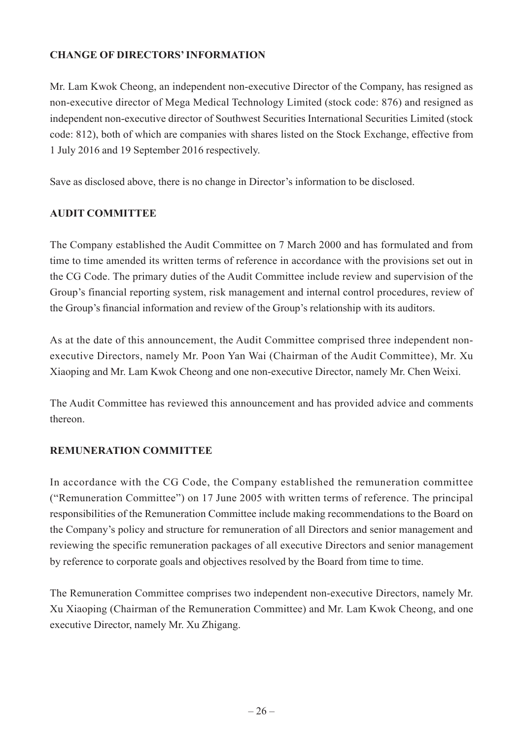# **CHANGE OF DIRECTORS' INFORMATION**

Mr. Lam Kwok Cheong, an independent non-executive Director of the Company, has resigned as non-executive director of Mega Medical Technology Limited (stock code: 876) and resigned as independent non-executive director of Southwest Securities International Securities Limited (stock code: 812), both of which are companies with shares listed on the Stock Exchange, effective from 1 July 2016 and 19 September 2016 respectively.

Save as disclosed above, there is no change in Director's information to be disclosed.

# **AUDIT COMMITTEE**

The Company established the Audit Committee on 7 March 2000 and has formulated and from time to time amended its written terms of reference in accordance with the provisions set out in the CG Code. The primary duties of the Audit Committee include review and supervision of the Group's financial reporting system, risk management and internal control procedures, review of the Group's financial information and review of the Group's relationship with its auditors.

As at the date of this announcement, the Audit Committee comprised three independent nonexecutive Directors, namely Mr. Poon Yan Wai (Chairman of the Audit Committee), Mr. Xu Xiaoping and Mr. Lam Kwok Cheong and one non-executive Director, namely Mr. Chen Weixi.

The Audit Committee has reviewed this announcement and has provided advice and comments thereon.

# **REMUNERATION COMMITTEE**

In accordance with the CG Code, the Company established the remuneration committee ("Remuneration Committee") on 17 June 2005 with written terms of reference. The principal responsibilities of the Remuneration Committee include making recommendations to the Board on the Company's policy and structure for remuneration of all Directors and senior management and reviewing the specific remuneration packages of all executive Directors and senior management by reference to corporate goals and objectives resolved by the Board from time to time.

The Remuneration Committee comprises two independent non-executive Directors, namely Mr. Xu Xiaoping (Chairman of the Remuneration Committee) and Mr. Lam Kwok Cheong, and one executive Director, namely Mr. Xu Zhigang.